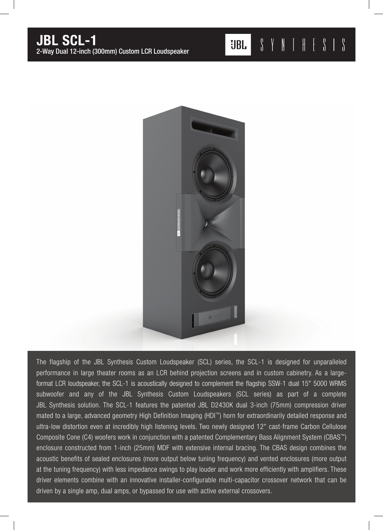

The flagship of the JBL Synthesis Custom Loudspeaker (SCL) series, the SCL-1 is designed for unparalleled performance in large theater rooms as an LCR behind projection screens and in custom cabinetry. As a largeformat LCR loudspeaker, the SCL-1 is acoustically designed to complement the flagship SSW-1 dual 15" 5000 WRMS subwoofer and any of the JBL Synthesis Custom Loudspeakers (SCL series) as part of a complete JBL Synthesis solution. The SCL-1 features the patented JBL D2430K dual 3-inch (75mm) compression driver mated to a large, advanced geometry High Definition Imaging (HDI™) horn for extraordinarily detailed response and ultra-low distortion even at incredibly high listening levels. Two newly designed 12" cast-frame Carbon Cellulose Composite Cone (C4) woofers work in conjunction with a patented Complementary Bass Alignment System (CBAS™) enclosure constructed from 1-inch (25mm) MDF with extensive internal bracing. The CBAS design combines the acoustic benefits of sealed enclosures (more output below tuning frequency) and vented enclosures (more output at the tuning frequency) with less impedance swings to play louder and work more efficiently with amplifiers. These driver elements combine with an innovative installer-configurable multi-capacitor crossover network that can be driven by a single amp, dual amps, or bypassed for use with active external crossovers.